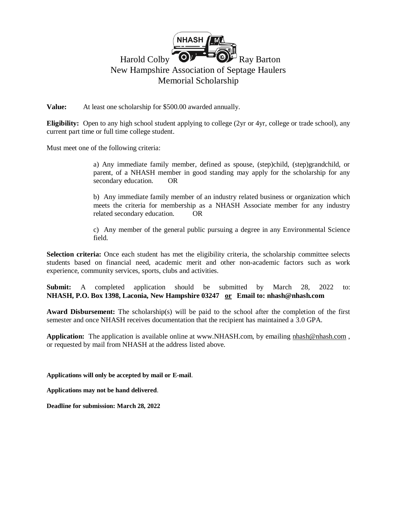

**Value:** At least one scholarship for \$500.00 awarded annually.

**Eligibility:** Open to any high school student applying to college (2yr or 4yr, college or trade school), any current part time or full time college student.

Must meet one of the following criteria:

a) Any immediate family member, defined as spouse, (step)child, (step)grandchild, or parent, of a NHASH member in good standing may apply for the scholarship for any secondary education. OR

b) Any immediate family member of an industry related business or organization which meets the criteria for membership as a NHASH Associate member for any industry related secondary education. OR

c) Any member of the general public pursuing a degree in any Environmental Science field.

**Selection criteria:** Once each student has met the eligibility criteria, the scholarship committee selects students based on financial need, academic merit and other non-academic factors such as work experience, community services, sports, clubs and activities.

**Submit:** A completed application should be submitted by March 28, 2022 to: **NHASH, P.O. Box 1398, Laconia, New Hampshire 03247 or Email to: nhash@nhash.com**

**Award Disbursement:** The scholarship(s) will be paid to the school after the completion of the first semester and once NHASH receives documentation that the recipient has maintained a 3.0 GPA.

**Application:** The application is available online at www.NHASH.com, by emailing [nhash@nhash.com](mailto:nhash@nhash.com), or requested by mail from NHASH at the address listed above.

**Applications will only be accepted by mail or E-mail**.

**Applications may not be hand delivered**.

**Deadline for submission: March 28, 2022**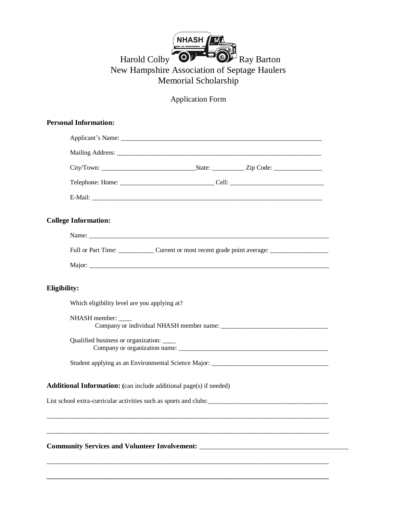## NHASH **ALL** Harold Colby  $\bullet$   $\bullet$  Ray Barton New Hampshire Association of Septage Haulers Memorial Scholarship

Application Form

|                     | <b>Personal Information:</b>                                                                         |  |  |  |  |
|---------------------|------------------------------------------------------------------------------------------------------|--|--|--|--|
|                     |                                                                                                      |  |  |  |  |
|                     |                                                                                                      |  |  |  |  |
|                     |                                                                                                      |  |  |  |  |
|                     |                                                                                                      |  |  |  |  |
|                     |                                                                                                      |  |  |  |  |
|                     | <b>College Information:</b>                                                                          |  |  |  |  |
|                     |                                                                                                      |  |  |  |  |
|                     | Full or Part Time: _______________Current or most recent grade point average: ______________________ |  |  |  |  |
|                     |                                                                                                      |  |  |  |  |
| <b>Eligibility:</b> |                                                                                                      |  |  |  |  |
|                     | Which eligibility level are you applying at?                                                         |  |  |  |  |
|                     | NHASH member: _____                                                                                  |  |  |  |  |
|                     | Qualified business or organization: _____                                                            |  |  |  |  |
|                     |                                                                                                      |  |  |  |  |
|                     | <b>Additional Information:</b> (can include additional page(s) if needed)                            |  |  |  |  |
|                     |                                                                                                      |  |  |  |  |
|                     |                                                                                                      |  |  |  |  |
|                     | Community Services and Volunteer Involvement: __________________________________                     |  |  |  |  |
|                     |                                                                                                      |  |  |  |  |
|                     |                                                                                                      |  |  |  |  |

**\_\_\_\_\_\_\_\_\_\_\_\_\_\_\_\_\_\_\_\_\_\_\_\_\_\_\_\_\_\_\_\_\_\_\_\_\_\_\_\_\_\_\_\_\_\_\_\_\_\_\_\_\_\_\_\_\_\_\_\_\_\_\_\_\_\_\_\_\_\_\_\_\_\_\_\_\_\_\_\_\_\_\_\_\_\_\_**